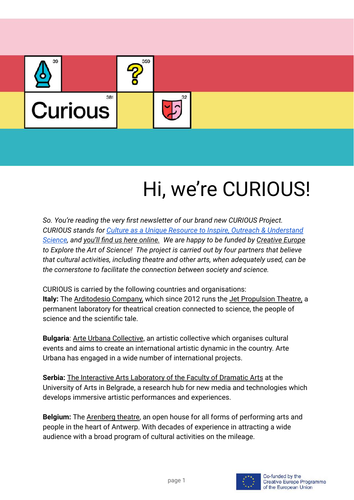

# Hi, we're CURIOUS!

*So. You're reading the very first newsletter of our brand new CURIOUS Project. CURIOUS stands for [Culture as a Unique Resource to](https://www.projectcurious.eu/) Inspire, Outreach & Understand [Science](https://www.projectcurious.eu/), and [you'll find us here online.](http://www.projectcurious.eu) We are happy to be funded by [Creative Europe](https://ec.europa.eu/culture/creative-europe) to Explore the Art of Science! The project is carried out by four partners that believe that cultural activities, including theatre and other arts, when adequately used, can be the cornerstone to facilitate the connection between society and science.*

CURIOUS is carried by the following countries and organisations: **Italy:** The [Arditodesio Company,](https://www.arditodesio.org/) which since 2012 runs the [Jet Propulsion Theatre,](https://www.jetpropulsiontheatre.org/index.html) a permanent laboratory for theatrical creation connected to science, the people of science and the scientific tale.

**Bulgaria**: [Arte Urbana Collective](https://www.arteurbanacollectif.com/index.html), an artistic collective which organises cultural events and aims to create an international artistic dynamic in the country. Arte Urbana has engaged in a wide number of international projects.

**Serbia:** [The Interactive Arts Laboratory of the Faculty](https://fdu.bg.ac.rs/en/faculty/laboratories/interactive-arts-laboratory) of Dramatic Arts at the University of Arts in Belgrade, a research hub for new media and technologies which develops immersive artistic performances and experiences.

**Belgium:** The [Arenberg theatre](https://www.arenberg.be/nl/), an open house for all forms of performing arts and people in the heart of Antwerp. With decades of experience in attracting a wide audience with a broad program of cultural activities on the mileage.

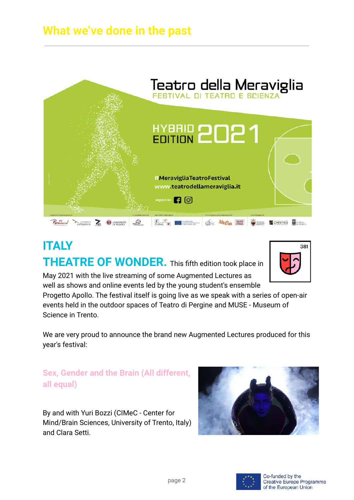## **What we've done in the past**



## **ITALY THEATRE OF WONDER.** This fifth edition took place in



May 2021 with the live streaming of some Augmented Lectures as well as shows and online events led by the young student's ensemble

Progetto Apollo. The festival itself is going live as we speak with a series of open-air events held in the outdoor spaces of Teatro di Pergine and MUSE - Museum of Science in Trento.

We are very proud to announce the brand new Augmented Lectures produced for this year's festival:

#### **Sex, Gender and the Brain (All different, all equal)**

By and with Yuri Bozzi (CIMeC - Center for Mind/Brain Sciences, University of Trento, Italy) and Clara Setti.



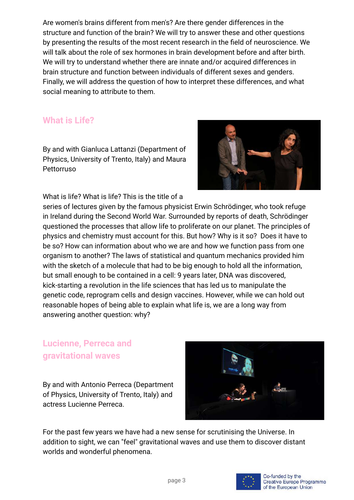Are women's brains different from men's? Are there gender differences in the structure and function of the brain? We will try to answer these and other questions by presenting the results of the most recent research in the field of neuroscience. We will talk about the role of sex hormones in brain development before and after birth. We will try to understand whether there are innate and/or acquired differences in brain structure and function between individuals of different sexes and genders. Finally, we will address the question of how to interpret these differences, and what social meaning to attribute to them.

#### **What is Life?**

By and with Gianluca Lattanzi (Department of Physics, University of Trento, Italy) and Maura Pettorruso



What is life? What is life? This is the title of a

series of lectures given by the famous physicist Erwin Schrödinger, who took refuge in Ireland during the Second World War. Surrounded by reports of death, Schrödinger questioned the processes that allow life to proliferate on our planet. The principles of physics and chemistry must account for this. But how? Why is it so? Does it have to be so? How can information about who we are and how we function pass from one organism to another? The laws of statistical and quantum mechanics provided him with the sketch of a molecule that had to be big enough to hold all the information, but small enough to be contained in a cell: 9 years later, DNA was discovered, kick-starting a revolution in the life sciences that has led us to manipulate the genetic code, reprogram cells and design vaccines. However, while we can hold out reasonable hopes of being able to explain what life is, we are a long way from answering another question: why?

#### **Lucienne, Perreca and gravitational waves**

By and with Antonio Perreca (Department of Physics, University of Trento, Italy) and actress Lucienne Perreca.



For the past few years we have had a new sense for scrutinising the Universe. In addition to sight, we can "feel" gravitational waves and use them to discover distant worlds and wonderful phenomena.

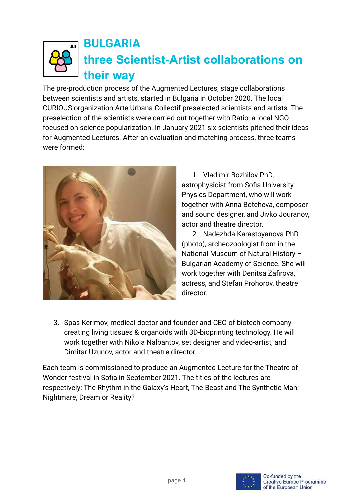

## **BULGARIA three Scientist-Artist collaborations on their way**

The pre-production process of the Augmented Lectures, stage collaborations between scientists and artists, started in Bulgaria in October 2020. The local CURIOUS organization Arte Urbana Collectif preselected scientists and artists. The preselection of the scientists were carried out together with Ratio, a local NGO focused on science popularization. In January 2021 six scientists pitched their ideas for Augmented Lectures. After an evaluation and matching process, three teams were formed:



1. Vladimir Bozhilov PhD, astrophysicist from Sofia University Physics Department, who will work together with Anna Botcheva, composer and sound designer, and Jivko Jouranov, actor and theatre director.

2. Nadezhda Karastoyanova PhD (photo), archeozoologist from in the National Museum of Natural History – Bulgarian Academy of Science. She will work together with Denitsa Zafirova, actress, and Stefan Prohorov, theatre director.

3. Spas Kerimov, medical doctor and founder and CEO of biotech company creating living tissues & organoids with 3D-bioprinting technology. He will work together with Nikola Nalbantov, set designer and video-artist, and Dimitar Uzunov, actor and theatre director.

Each team is commissioned to produce an Augmented Lecture for the Theatre of Wonder festival in Sofia in September 2021. The titles of the lectures are respectively: The Rhythm in the Galaxy's Heart, The Beast and The Synthetic Man: Nightmare, Dream or Reality?

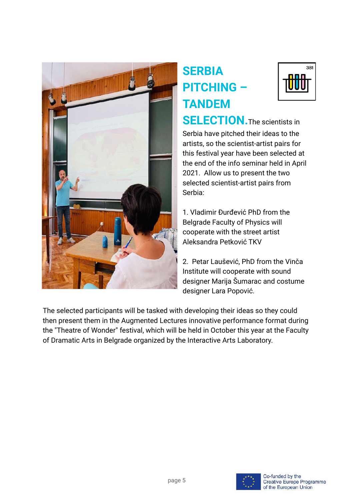

# **SERBIA PITCHING – TANDEM**



**SELECTION.** The scientists in Serbia have pitched their ideas to the artists, so the scientist-artist pairs for this festival year have been selected at the end of the info seminar held in April 2021. Allow us to present the two selected scientist-artist pairs from Serbia:

1. Vladimir Đurđević PhD from the Belgrade Faculty of Physics will cooperate with the street artist Aleksandra Petković TKV

2. Petar Laušević, PhD from the Vinča Institute will cooperate with sound designer Marija Šumarac and costume designer Lara Popović.

The selected participants will be tasked with developing their ideas so they could then present them in the Augmented Lectures innovative performance format during the "Theatre of Wonder" festival, which will be held in October this year at the Faculty of Dramatic Arts in Belgrade organized by the Interactive Arts Laboratory.

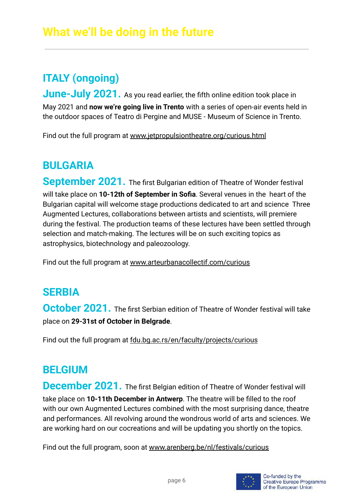## **ITALY (ongoing)**

**June-July 2021.** As you read earlier, the fifth online edition took place in May 2021 and **now we're going live in Trento** with a series of open-air events held in the outdoor spaces of Teatro di Pergine and MUSE - Museum of Science in Trento.

Find out the full program at [www.jetpropulsiontheatre.org/curious.html](https://www.jetpropulsiontheatre.org/curious.html)

### **BULGARIA**

**September 2021.** The first Bulgarian edition of Theatre of Wonder festival will take place on **10-12th of September in Sofia**. Several venues in the heart of the Bulgarian capital will welcome stage productions dedicated to art and science Three Augmented Lectures, collaborations between artists and scientists, will premiere during the festival. The production teams of these lectures have been settled through selection and match-making. The lectures will be on such exciting topics as astrophysics, biotechnology and paleozoology.

Find out the full program at [www.arteurbanacollectif.com/curious](https://www.arteurbanacollectif.com/curious.html)

### **SERBIA**

**October 2021.** The first Serbian edition of Theatre of Wonder festival will take place on **29-31st of October in Belgrade**.

Find out the full program at [fdu.bg.ac.rs/en/faculty/projects/curious](http://fdu.bg.ac.rs/en/faculty/projects/curious)

#### **BELGIUM**

**December 2021.** The first Belgian edition of Theatre of Wonder festival will take place on **10-11th December in Antwerp**. The theatre will be filled to the roof with our own Augmented Lectures combined with the most surprising dance, theatre and performances. All revolving around the wondrous world of arts and sciences. We are working hard on our cocreations and will be updating you shortly on the topics.

Find out the full program, soon at [www.arenberg.be/nl/festivals/curious](https://www.arenberg.be/nl/festivals/curious/3/)